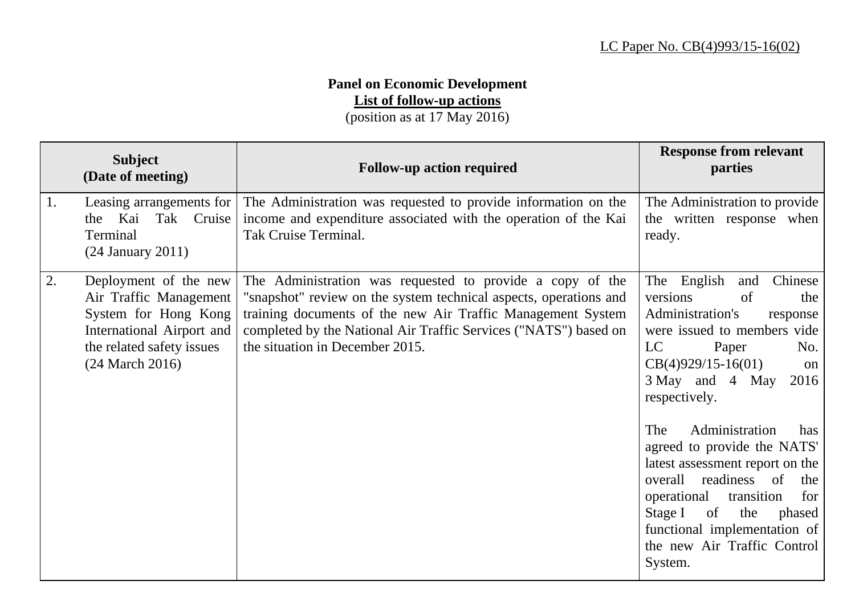## **Panel on Economic Development**

**List of follow-up actions**

(position as at 17 May 2016)

|    | <b>Subject</b><br>(Date of meeting)                                                                                                                  | <b>Follow-up action required</b>                                                                                                                                                                                                                                                                     | <b>Response from relevant</b><br>parties                                                                                                                                                                                                                                                                                                                                                                                                                                                                  |
|----|------------------------------------------------------------------------------------------------------------------------------------------------------|------------------------------------------------------------------------------------------------------------------------------------------------------------------------------------------------------------------------------------------------------------------------------------------------------|-----------------------------------------------------------------------------------------------------------------------------------------------------------------------------------------------------------------------------------------------------------------------------------------------------------------------------------------------------------------------------------------------------------------------------------------------------------------------------------------------------------|
| 1. | Leasing arrangements for<br>Kai<br>Tak Cruise<br>the<br>Terminal<br>$(24$ January $2011)$                                                            | The Administration was requested to provide information on the<br>income and expenditure associated with the operation of the Kai<br>Tak Cruise Terminal.                                                                                                                                            | The Administration to provide<br>the written response when<br>ready.                                                                                                                                                                                                                                                                                                                                                                                                                                      |
| 2. | Deployment of the new<br>Air Traffic Management<br>System for Hong Kong<br>International Airport and<br>the related safety issues<br>(24 March 2016) | The Administration was requested to provide a copy of the<br>"snapshot" review on the system technical aspects, operations and<br>training documents of the new Air Traffic Management System<br>completed by the National Air Traffic Services ("NATS") based on<br>the situation in December 2015. | The English<br>Chinese<br>and<br>versions<br>of<br>the<br>Administration's<br>response<br>were issued to members vide<br>LC<br>Paper<br>No.<br>$CB(4)929/15-16(01)$<br>on<br>3 May and 4 May<br>2016<br>respectively.<br>Administration<br>The<br>has<br>agreed to provide the NATS'<br>latest assessment report on the<br>overall<br>readiness of<br>the<br>transition<br>operational<br>for<br>of<br>Stage I<br>the<br>phased<br>functional implementation of<br>the new Air Traffic Control<br>System. |